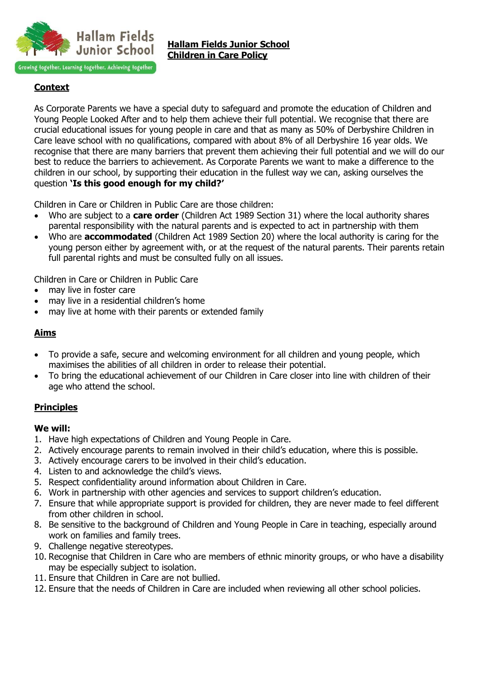

# **Context**

As Corporate Parents we have a special duty to safeguard and promote the education of Children and Young People Looked After and to help them achieve their full potential. We recognise that there are crucial educational issues for young people in care and that as many as 50% of Derbyshire Children in Care leave school with no qualifications, compared with about 8% of all Derbyshire 16 year olds. We recognise that there are many barriers that prevent them achieving their full potential and we will do our best to reduce the barriers to achievement. As Corporate Parents we want to make a difference to the children in our school, by supporting their education in the fullest way we can, asking ourselves the question **'Is this good enough for my child?'**

Children in Care or Children in Public Care are those children:

- Who are subject to a **care order** (Children Act 1989 Section 31) where the local authority shares parental responsibility with the natural parents and is expected to act in partnership with them
- Who are **accommodated** (Children Act 1989 Section 20) where the local authority is caring for the young person either by agreement with, or at the request of the natural parents. Their parents retain full parental rights and must be consulted fully on all issues.

Children in Care or Children in Public Care

- may live in foster care
- may live in a residential children's home
- may live at home with their parents or extended family

## **Aims**

- To provide a safe, secure and welcoming environment for all children and young people, which maximises the abilities of all children in order to release their potential.
- To bring the educational achievement of our Children in Care closer into line with children of their age who attend the school.

## **Principles**

### **We will:**

- 1. Have high expectations of Children and Young People in Care.
- 2. Actively encourage parents to remain involved in their child's education, where this is possible.
- 3. Actively encourage carers to be involved in their child's education.
- 4. Listen to and acknowledge the child's views.
- 5. Respect confidentiality around information about Children in Care.
- 6. Work in partnership with other agencies and services to support children's education.
- 7. Ensure that while appropriate support is provided for children, they are never made to feel different from other children in school.
- 8. Be sensitive to the background of Children and Young People in Care in teaching, especially around work on families and family trees.
- 9. Challenge negative stereotypes.
- 10. Recognise that Children in Care who are members of ethnic minority groups, or who have a disability may be especially subject to isolation.
- 11. Ensure that Children in Care are not bullied.
- 12. Ensure that the needs of Children in Care are included when reviewing all other school policies.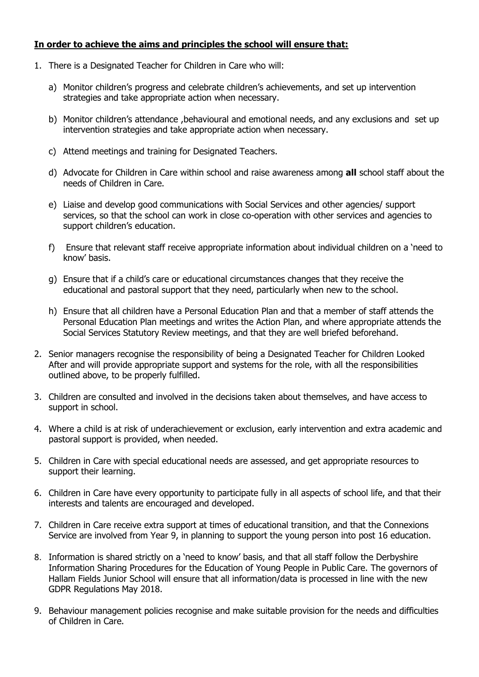## **In order to achieve the aims and principles the school will ensure that:**

- 1. There is a Designated Teacher for Children in Care who will:
	- a) Monitor children's progress and celebrate children's achievements, and set up intervention strategies and take appropriate action when necessary.
	- b) Monitor children's attendance ,behavioural and emotional needs, and any exclusions and set up intervention strategies and take appropriate action when necessary.
	- c) Attend meetings and training for Designated Teachers.
	- d) Advocate for Children in Care within school and raise awareness among **all** school staff about the needs of Children in Care.
	- e) Liaise and develop good communications with Social Services and other agencies/ support services, so that the school can work in close co-operation with other services and agencies to support children's education.
	- f) Ensure that relevant staff receive appropriate information about individual children on a 'need to know' basis.
	- g) Ensure that if a child's care or educational circumstances changes that they receive the educational and pastoral support that they need, particularly when new to the school.
	- h) Ensure that all children have a Personal Education Plan and that a member of staff attends the Personal Education Plan meetings and writes the Action Plan, and where appropriate attends the Social Services Statutory Review meetings, and that they are well briefed beforehand.
- 2. Senior managers recognise the responsibility of being a Designated Teacher for Children Looked After and will provide appropriate support and systems for the role, with all the responsibilities outlined above, to be properly fulfilled.
- 3. Children are consulted and involved in the decisions taken about themselves, and have access to support in school.
- 4. Where a child is at risk of underachievement or exclusion, early intervention and extra academic and pastoral support is provided, when needed.
- 5. Children in Care with special educational needs are assessed, and get appropriate resources to support their learning.
- 6. Children in Care have every opportunity to participate fully in all aspects of school life, and that their interests and talents are encouraged and developed.
- 7. Children in Care receive extra support at times of educational transition, and that the Connexions Service are involved from Year 9, in planning to support the young person into post 16 education.
- 8. Information is shared strictly on a 'need to know' basis, and that all staff follow the Derbyshire Information Sharing Procedures for the Education of Young People in Public Care. The governors of Hallam Fields Junior School will ensure that all information/data is processed in line with the new GDPR Regulations May 2018.
- 9. Behaviour management policies recognise and make suitable provision for the needs and difficulties of Children in Care.